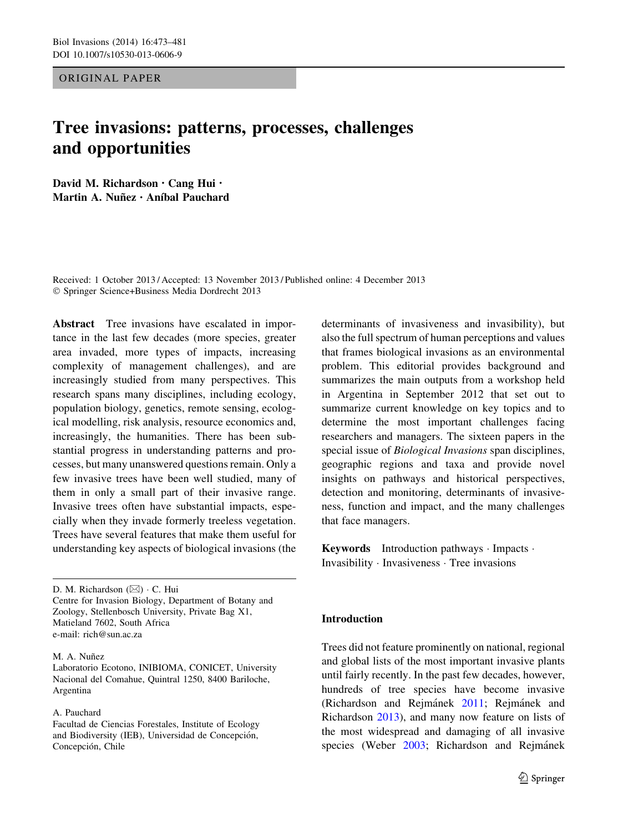ORIGINAL PAPER

# Tree invasions: patterns, processes, challenges and opportunities

David M. Richardson • Cang Hui • Martin A. Nuñez · Aníbal Pauchard

Received: 1 October 2013 / Accepted: 13 November 2013 / Published online: 4 December 2013 - Springer Science+Business Media Dordrecht 2013

Abstract Tree invasions have escalated in importance in the last few decades (more species, greater area invaded, more types of impacts, increasing complexity of management challenges), and are increasingly studied from many perspectives. This research spans many disciplines, including ecology, population biology, genetics, remote sensing, ecological modelling, risk analysis, resource economics and, increasingly, the humanities. There has been substantial progress in understanding patterns and processes, but many unanswered questions remain. Only a few invasive trees have been well studied, many of them in only a small part of their invasive range. Invasive trees often have substantial impacts, especially when they invade formerly treeless vegetation. Trees have several features that make them useful for understanding key aspects of biological invasions (the

D. M. Richardson  $(\boxtimes) \cdot C$ . Hui Centre for Invasion Biology, Department of Botany and Zoology, Stellenbosch University, Private Bag X1, Matieland 7602, South Africa e-mail: rich@sun.ac.za

M. A. Nuñez

Laboratorio Ecotono, INIBIOMA, CONICET, University Nacional del Comahue, Quintral 1250, 8400 Bariloche, Argentina

A. Pauchard

Facultad de Ciencias Forestales, Institute of Ecology and Biodiversity (IEB), Universidad de Concepción, Concepción, Chile

determinants of invasiveness and invasibility), but also the full spectrum of human perceptions and values that frames biological invasions as an environmental problem. This editorial provides background and summarizes the main outputs from a workshop held in Argentina in September 2012 that set out to summarize current knowledge on key topics and to determine the most important challenges facing researchers and managers. The sixteen papers in the special issue of Biological Invasions span disciplines, geographic regions and taxa and provide novel insights on pathways and historical perspectives, detection and monitoring, determinants of invasiveness, function and impact, and the many challenges that face managers.

Keywords Introduction pathways - Impacts - Invasibility - Invasiveness - Tree invasions

# Introduction

Trees did not feature prominently on national, regional and global lists of the most important invasive plants until fairly recently. In the past few decades, however, hundreds of tree species have become invasive (Richardson and Rejmánek [2011;](#page-8-0) Rejmánek and Richardson [2013\)](#page-8-0), and many now feature on lists of the most widespread and damaging of all invasive species (Weber [2003](#page-8-0); Richardson and Rejmánek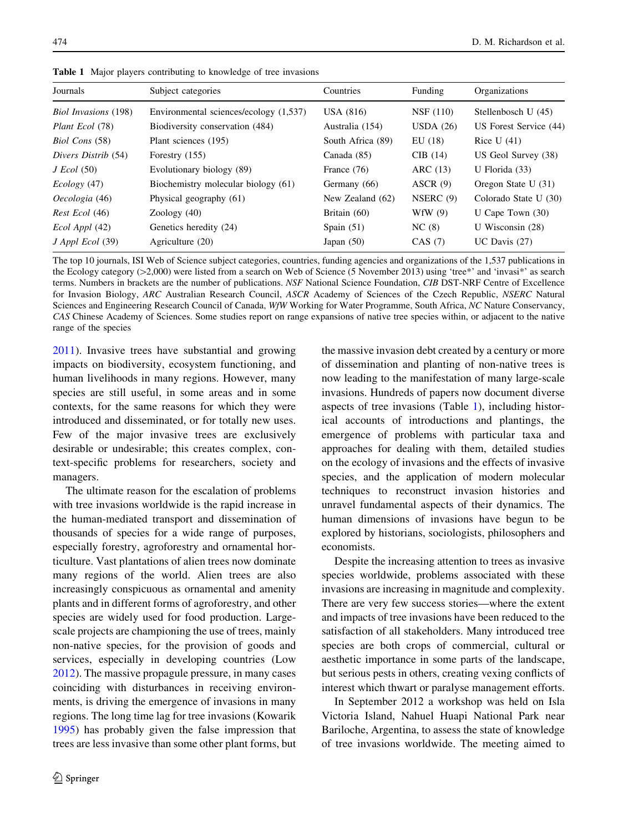| Journals                    | Subject categories                     | Countries         | Funding     | Organizations          |
|-----------------------------|----------------------------------------|-------------------|-------------|------------------------|
| <b>Biol Invasions</b> (198) | Environmental sciences/ecology (1,537) | USA (816)         | NSF (110)   | Stellenbosch U (45)    |
| Plant Ecol (78)             | Biodiversity conservation (484)        | Australia (154)   | USDA $(26)$ | US Forest Service (44) |
| Biol Cons (58)              | Plant sciences (195)                   | South Africa (89) | EU(18)      | Rice U $(41)$          |
| Divers Distrib (54)         | Forestry $(155)$                       | Canada (85)       | CIB(14)     | US Geol Survey (38)    |
| $J\$ Ecol (50)              | Evolutionary biology (89)              | France (76)       | ARC (13)    | U Florida $(33)$       |
| Ecology (47)                | Biochemistry molecular biology (61)    | Germany (66)      | ASCR(9)     | Oregon State U (31)    |
| Oecologia (46)              | Physical geography (61)                | New Zealand (62)  | NSERC(9)    | Colorado State U (30)  |
| Rest Ecol (46)              | Zoology $(40)$                         | Britain (60)      | WfW $(9)$   | U Cape Town $(30)$     |
| Ecol Appl (42)              | Genetics heredity (24)                 | Spain $(51)$      | NC(8)       | U Wisconsin $(28)$     |
| $J$ Appl Ecol $(39)$        | Agriculture (20)                       | Japan $(50)$      | CAS (7)     | UC Davis $(27)$        |

Table 1 Major players contributing to knowledge of tree invasions

The top 10 journals, ISI Web of Science subject categories, countries, funding agencies and organizations of the 1,537 publications in the Ecology category ( $>2,000$ ) were listed from a search on Web of Science (5 November 2013) using 'tree\*' and 'invasi\*' as search terms. Numbers in brackets are the number of publications. NSF National Science Foundation, CIB DST-NRF Centre of Excellence for Invasion Biology, ARC Australian Research Council, ASCR Academy of Sciences of the Czech Republic, NSERC Natural Sciences and Engineering Research Council of Canada, WfW Working for Water Programme, South Africa, NC Nature Conservancy, CAS Chinese Academy of Sciences. Some studies report on range expansions of native tree species within, or adjacent to the native range of the species

[2011\)](#page-8-0). Invasive trees have substantial and growing impacts on biodiversity, ecosystem functioning, and human livelihoods in many regions. However, many species are still useful, in some areas and in some contexts, for the same reasons for which they were introduced and disseminated, or for totally new uses. Few of the major invasive trees are exclusively desirable or undesirable; this creates complex, context-specific problems for researchers, society and managers.

The ultimate reason for the escalation of problems with tree invasions worldwide is the rapid increase in the human-mediated transport and dissemination of thousands of species for a wide range of purposes, especially forestry, agroforestry and ornamental horticulture. Vast plantations of alien trees now dominate many regions of the world. Alien trees are also increasingly conspicuous as ornamental and amenity plants and in different forms of agroforestry, and other species are widely used for food production. Largescale projects are championing the use of trees, mainly non-native species, for the provision of goods and services, especially in developing countries (Low [2012\)](#page-8-0). The massive propagule pressure, in many cases coinciding with disturbances in receiving environments, is driving the emergence of invasions in many regions. The long time lag for tree invasions (Kowarik [1995\)](#page-7-0) has probably given the false impression that trees are less invasive than some other plant forms, but the massive invasion debt created by a century or more of dissemination and planting of non-native trees is now leading to the manifestation of many large-scale invasions. Hundreds of papers now document diverse aspects of tree invasions (Table 1), including historical accounts of introductions and plantings, the emergence of problems with particular taxa and approaches for dealing with them, detailed studies on the ecology of invasions and the effects of invasive species, and the application of modern molecular techniques to reconstruct invasion histories and unravel fundamental aspects of their dynamics. The human dimensions of invasions have begun to be explored by historians, sociologists, philosophers and economists.

Despite the increasing attention to trees as invasive species worldwide, problems associated with these invasions are increasing in magnitude and complexity. There are very few success stories—where the extent and impacts of tree invasions have been reduced to the satisfaction of all stakeholders. Many introduced tree species are both crops of commercial, cultural or aesthetic importance in some parts of the landscape, but serious pests in others, creating vexing conflicts of interest which thwart or paralyse management efforts.

In September 2012 a workshop was held on Isla Victoria Island, Nahuel Huapi National Park near Bariloche, Argentina, to assess the state of knowledge of tree invasions worldwide. The meeting aimed to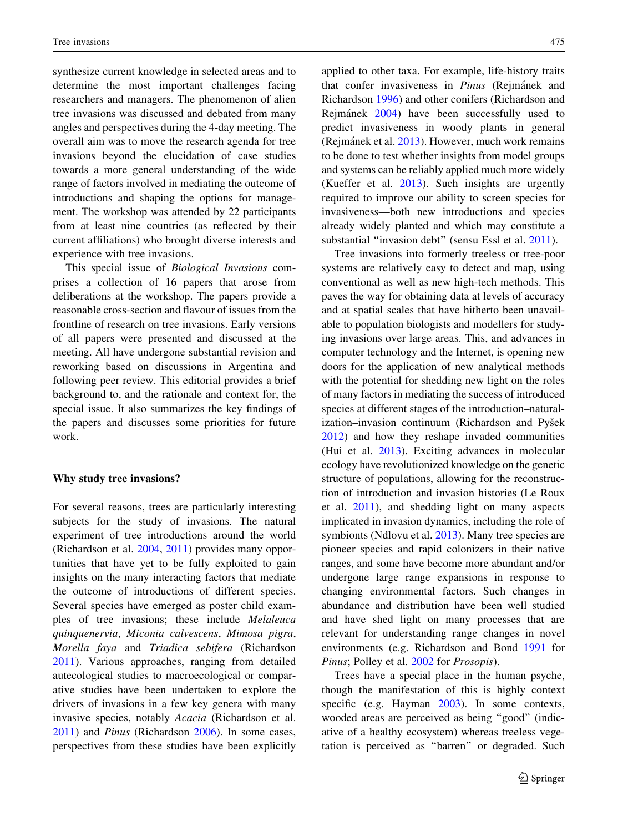synthesize current knowledge in selected areas and to determine the most important challenges facing researchers and managers. The phenomenon of alien tree invasions was discussed and debated from many angles and perspectives during the 4-day meeting. The overall aim was to move the research agenda for tree invasions beyond the elucidation of case studies towards a more general understanding of the wide range of factors involved in mediating the outcome of introductions and shaping the options for management. The workshop was attended by 22 participants from at least nine countries (as reflected by their current affiliations) who brought diverse interests and experience with tree invasions.

This special issue of Biological Invasions comprises a collection of 16 papers that arose from deliberations at the workshop. The papers provide a reasonable cross-section and flavour of issues from the frontline of research on tree invasions. Early versions of all papers were presented and discussed at the meeting. All have undergone substantial revision and reworking based on discussions in Argentina and following peer review. This editorial provides a brief background to, and the rationale and context for, the special issue. It also summarizes the key findings of the papers and discusses some priorities for future work.

### Why study tree invasions?

For several reasons, trees are particularly interesting subjects for the study of invasions. The natural experiment of tree introductions around the world (Richardson et al. [2004](#page-8-0), [2011\)](#page-8-0) provides many opportunities that have yet to be fully exploited to gain insights on the many interacting factors that mediate the outcome of introductions of different species. Several species have emerged as poster child examples of tree invasions; these include Melaleuca quinquenervia, Miconia calvescens, Mimosa pigra, Morella faya and Triadica sebifera (Richardson [2011\)](#page-8-0). Various approaches, ranging from detailed autecological studies to macroecological or comparative studies have been undertaken to explore the drivers of invasions in a few key genera with many invasive species, notably Acacia (Richardson et al. [2011\)](#page-8-0) and Pinus (Richardson [2006\)](#page-8-0). In some cases, perspectives from these studies have been explicitly applied to other taxa. For example, life-history traits that confer invasiveness in *Pinus* (Rejmánek and Richardson [1996](#page-8-0)) and other conifers (Richardson and Rejma´nek [2004\)](#page-8-0) have been successfully used to predict invasiveness in woody plants in general (Rejmánek et al. [2013](#page-8-0)). However, much work remains to be done to test whether insights from model groups and systems can be reliably applied much more widely (Kueffer et al. [2013](#page-7-0)). Such insights are urgently required to improve our ability to screen species for invasiveness—both new introductions and species already widely planted and which may constitute a substantial ''invasion debt'' (sensu Essl et al. [2011\)](#page-7-0).

Tree invasions into formerly treeless or tree-poor systems are relatively easy to detect and map, using conventional as well as new high-tech methods. This paves the way for obtaining data at levels of accuracy and at spatial scales that have hitherto been unavailable to population biologists and modellers for studying invasions over large areas. This, and advances in computer technology and the Internet, is opening new doors for the application of new analytical methods with the potential for shedding new light on the roles of many factors in mediating the success of introduced species at different stages of the introduction–naturalization–invasion continuum (Richardson and Pyšek [2012\)](#page-8-0) and how they reshape invaded communities (Hui et al. [2013](#page-7-0)). Exciting advances in molecular ecology have revolutionized knowledge on the genetic structure of populations, allowing for the reconstruction of introduction and invasion histories (Le Roux et al. [2011\)](#page-8-0), and shedding light on many aspects implicated in invasion dynamics, including the role of symbionts (Ndlovu et al. [2013\)](#page-8-0). Many tree species are pioneer species and rapid colonizers in their native ranges, and some have become more abundant and/or undergone large range expansions in response to changing environmental factors. Such changes in abundance and distribution have been well studied and have shed light on many processes that are relevant for understanding range changes in novel environments (e.g. Richardson and Bond [1991](#page-8-0) for Pinus; Polley et al. [2002](#page-8-0) for Prosopis).

Trees have a special place in the human psyche, though the manifestation of this is highly context specific (e.g. Hayman [2003](#page-7-0)). In some contexts, wooded areas are perceived as being ''good'' (indicative of a healthy ecosystem) whereas treeless vegetation is perceived as ''barren'' or degraded. Such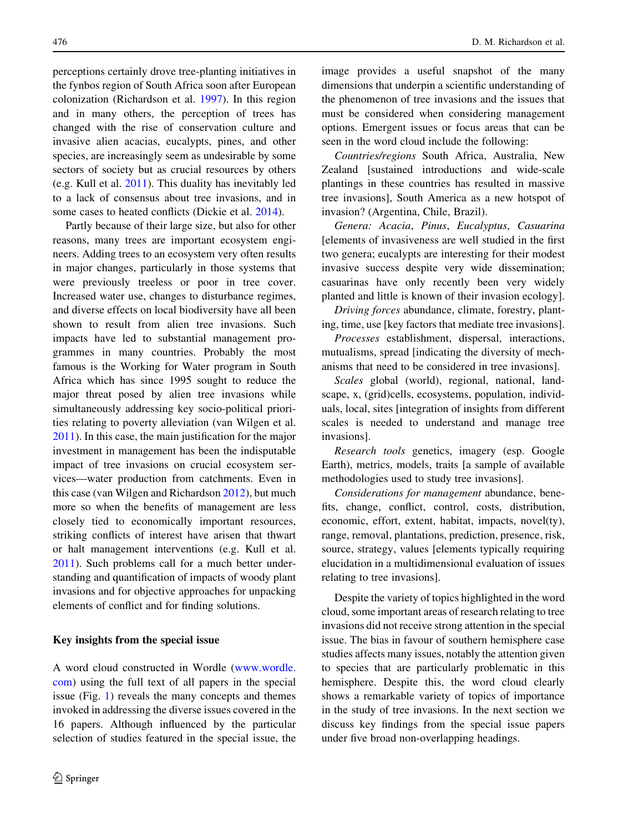perceptions certainly drove tree-planting initiatives in the fynbos region of South Africa soon after European colonization (Richardson et al. [1997](#page-8-0)). In this region and in many others, the perception of trees has changed with the rise of conservation culture and invasive alien acacias, eucalypts, pines, and other species, are increasingly seem as undesirable by some sectors of society but as crucial resources by others (e.g. Kull et al. [2011\)](#page-8-0). This duality has inevitably led to a lack of consensus about tree invasions, and in some cases to heated conflicts (Dickie et al. [2014](#page-7-0)).

Partly because of their large size, but also for other reasons, many trees are important ecosystem engineers. Adding trees to an ecosystem very often results in major changes, particularly in those systems that were previously treeless or poor in tree cover. Increased water use, changes to disturbance regimes, and diverse effects on local biodiversity have all been shown to result from alien tree invasions. Such impacts have led to substantial management programmes in many countries. Probably the most famous is the Working for Water program in South Africa which has since 1995 sought to reduce the major threat posed by alien tree invasions while simultaneously addressing key socio-political priorities relating to poverty alleviation (van Wilgen et al. [2011\)](#page-8-0). In this case, the main justification for the major investment in management has been the indisputable impact of tree invasions on crucial ecosystem services—water production from catchments. Even in this case (van Wilgen and Richardson [2012](#page-8-0)), but much more so when the benefits of management are less closely tied to economically important resources, striking conflicts of interest have arisen that thwart or halt management interventions (e.g. Kull et al. [2011\)](#page-8-0). Such problems call for a much better understanding and quantification of impacts of woody plant invasions and for objective approaches for unpacking elements of conflict and for finding solutions.

## Key insights from the special issue

A word cloud constructed in Wordle ([www.wordle.](http://www.wordle.com) [com](http://www.wordle.com)) using the full text of all papers in the special issue (Fig. [1\)](#page-4-0) reveals the many concepts and themes invoked in addressing the diverse issues covered in the 16 papers. Although influenced by the particular selection of studies featured in the special issue, the image provides a useful snapshot of the many dimensions that underpin a scientific understanding of the phenomenon of tree invasions and the issues that must be considered when considering management options. Emergent issues or focus areas that can be seen in the word cloud include the following:

Countries/regions South Africa, Australia, New Zealand [sustained introductions and wide-scale plantings in these countries has resulted in massive tree invasions], South America as a new hotspot of invasion? (Argentina, Chile, Brazil).

Genera: Acacia, Pinus, Eucalyptus, Casuarina [elements of invasiveness are well studied in the first two genera; eucalypts are interesting for their modest invasive success despite very wide dissemination; casuarinas have only recently been very widely planted and little is known of their invasion ecology].

Driving forces abundance, climate, forestry, planting, time, use [key factors that mediate tree invasions].

Processes establishment, dispersal, interactions, mutualisms, spread [indicating the diversity of mechanisms that need to be considered in tree invasions].

Scales global (world), regional, national, landscape, x, (grid)cells, ecosystems, population, individuals, local, sites [integration of insights from different scales is needed to understand and manage tree invasions].

Research tools genetics, imagery (esp. Google Earth), metrics, models, traits [a sample of available methodologies used to study tree invasions].

Considerations for management abundance, benefits, change, conflict, control, costs, distribution, economic, effort, extent, habitat, impacts, novel(ty), range, removal, plantations, prediction, presence, risk, source, strategy, values [elements typically requiring elucidation in a multidimensional evaluation of issues relating to tree invasions].

Despite the variety of topics highlighted in the word cloud, some important areas of research relating to tree invasions did not receive strong attention in the special issue. The bias in favour of southern hemisphere case studies affects many issues, notably the attention given to species that are particularly problematic in this hemisphere. Despite this, the word cloud clearly shows a remarkable variety of topics of importance in the study of tree invasions. In the next section we discuss key findings from the special issue papers under five broad non-overlapping headings.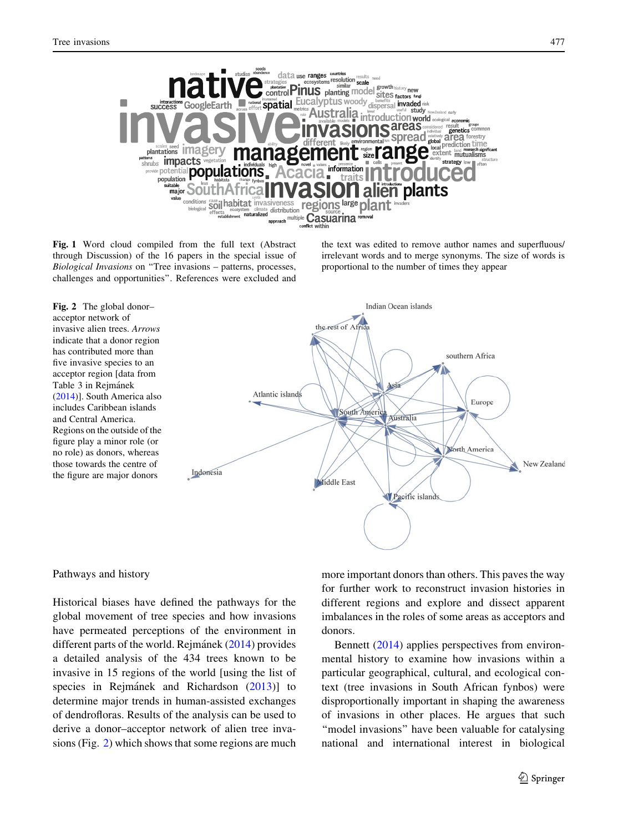<span id="page-4-0"></span>

Fig. 1 Word cloud compiled from the full text (Abstract through Discussion) of the 16 papers in the special issue of Biological Invasions on ''Tree invasions – patterns, processes, challenges and opportunities''. References were excluded and the text was edited to remove author names and superfluous/ irrelevant words and to merge synonyms. The size of words is proportional to the number of times they appear



# Pathways and history

Historical biases have defined the pathways for the global movement of tree species and how invasions have permeated perceptions of the environment in different parts of the world. Rejmannek  $(2014)$  $(2014)$  provides a detailed analysis of the 434 trees known to be invasive in 15 regions of the world [using the list of species in Rejmánek and Richardson [\(2013](#page-8-0))] to determine major trends in human-assisted exchanges of dendrofloras. Results of the analysis can be used to derive a donor–acceptor network of alien tree invasions (Fig. 2) which shows that some regions are much more important donors than others. This paves the way for further work to reconstruct invasion histories in different regions and explore and dissect apparent imbalances in the roles of some areas as acceptors and donors.

Bennett ([2014\)](#page-7-0) applies perspectives from environmental history to examine how invasions within a particular geographical, cultural, and ecological context (tree invasions in South African fynbos) were disproportionally important in shaping the awareness of invasions in other places. He argues that such "model invasions" have been valuable for catalysing national and international interest in biological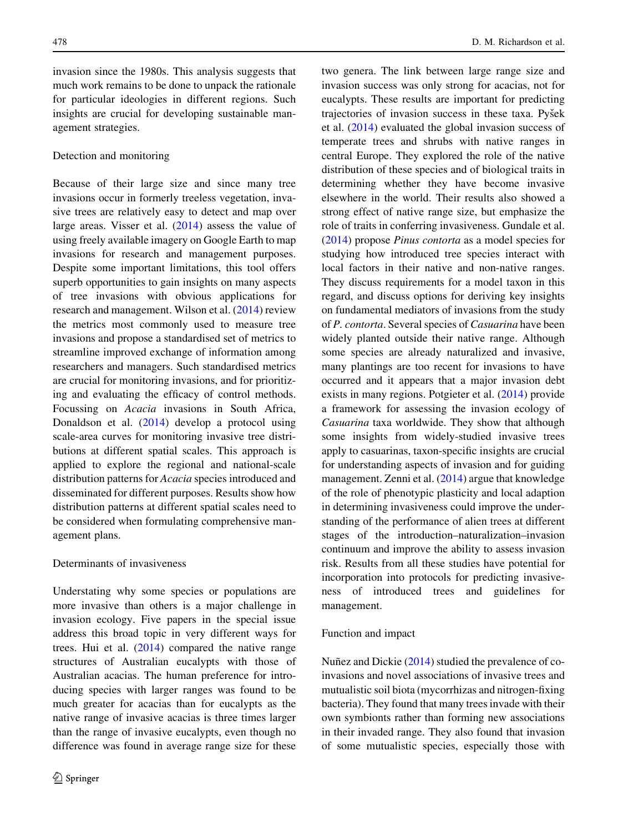invasion since the 1980s. This analysis suggests that much work remains to be done to unpack the rationale for particular ideologies in different regions. Such insights are crucial for developing sustainable management strategies.

# Detection and monitoring

Because of their large size and since many tree invasions occur in formerly treeless vegetation, invasive trees are relatively easy to detect and map over large areas. Visser et al. [\(2014](#page-8-0)) assess the value of using freely available imagery on Google Earth to map invasions for research and management purposes. Despite some important limitations, this tool offers superb opportunities to gain insights on many aspects of tree invasions with obvious applications for research and management. Wilson et al. ([2014\)](#page-8-0) review the metrics most commonly used to measure tree invasions and propose a standardised set of metrics to streamline improved exchange of information among researchers and managers. Such standardised metrics are crucial for monitoring invasions, and for prioritizing and evaluating the efficacy of control methods. Focussing on Acacia invasions in South Africa, Donaldson et al. [\(2014](#page-7-0)) develop a protocol using scale-area curves for monitoring invasive tree distributions at different spatial scales. This approach is applied to explore the regional and national-scale distribution patterns for *Acacia* species introduced and disseminated for different purposes. Results show how distribution patterns at different spatial scales need to be considered when formulating comprehensive management plans.

# Determinants of invasiveness

Understating why some species or populations are more invasive than others is a major challenge in invasion ecology. Five papers in the special issue address this broad topic in very different ways for trees. Hui et al.  $(2014)$  $(2014)$  compared the native range structures of Australian eucalypts with those of Australian acacias. The human preference for introducing species with larger ranges was found to be much greater for acacias than for eucalypts as the native range of invasive acacias is three times larger than the range of invasive eucalypts, even though no difference was found in average range size for these

two genera. The link between large range size and invasion success was only strong for acacias, not for eucalypts. These results are important for predicting trajectories of invasion success in these taxa. Pyšek et al. [\(2014](#page-8-0)) evaluated the global invasion success of temperate trees and shrubs with native ranges in central Europe. They explored the role of the native distribution of these species and of biological traits in determining whether they have become invasive elsewhere in the world. Their results also showed a strong effect of native range size, but emphasize the role of traits in conferring invasiveness. Gundale et al. [\(2014](#page-7-0)) propose Pinus contorta as a model species for studying how introduced tree species interact with local factors in their native and non-native ranges. They discuss requirements for a model taxon in this regard, and discuss options for deriving key insights on fundamental mediators of invasions from the study of P. contorta. Several species of Casuarina have been widely planted outside their native range. Although some species are already naturalized and invasive, many plantings are too recent for invasions to have occurred and it appears that a major invasion debt exists in many regions. Potgieter et al. ([2014\)](#page-8-0) provide a framework for assessing the invasion ecology of Casuarina taxa worldwide. They show that although some insights from widely-studied invasive trees apply to casuarinas, taxon-specific insights are crucial for understanding aspects of invasion and for guiding management. Zenni et al. [\(2014](#page-8-0)) argue that knowledge of the role of phenotypic plasticity and local adaption in determining invasiveness could improve the understanding of the performance of alien trees at different stages of the introduction–naturalization–invasion continuum and improve the ability to assess invasion risk. Results from all these studies have potential for incorporation into protocols for predicting invasiveness of introduced trees and guidelines for management.

#### Function and impact

Nuñez and Dickie  $(2014)$  $(2014)$  studied the prevalence of coinvasions and novel associations of invasive trees and mutualistic soil biota (mycorrhizas and nitrogen-fixing bacteria). They found that many trees invade with their own symbionts rather than forming new associations in their invaded range. They also found that invasion of some mutualistic species, especially those with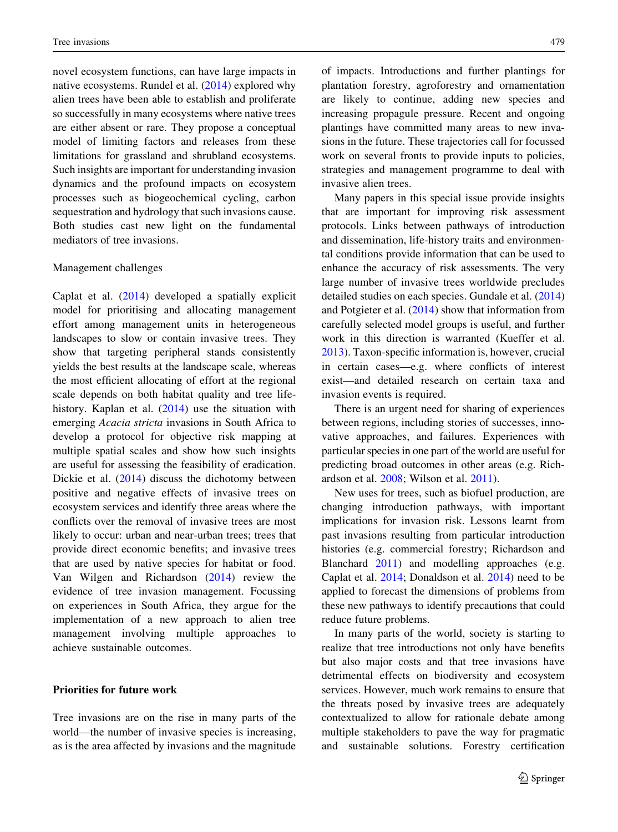novel ecosystem functions, can have large impacts in native ecosystems. Rundel et al. ([2014](#page-8-0)) explored why alien trees have been able to establish and proliferate so successfully in many ecosystems where native trees are either absent or rare. They propose a conceptual model of limiting factors and releases from these limitations for grassland and shrubland ecosystems. Such insights are important for understanding invasion dynamics and the profound impacts on ecosystem processes such as biogeochemical cycling, carbon sequestration and hydrology that such invasions cause. Both studies cast new light on the fundamental mediators of tree invasions.

## Management challenges

Caplat et al. ([2014\)](#page-7-0) developed a spatially explicit model for prioritising and allocating management effort among management units in heterogeneous landscapes to slow or contain invasive trees. They show that targeting peripheral stands consistently yields the best results at the landscape scale, whereas the most efficient allocating of effort at the regional scale depends on both habitat quality and tree lifehistory. Kaplan et al. ([2014\)](#page-7-0) use the situation with emerging Acacia stricta invasions in South Africa to develop a protocol for objective risk mapping at multiple spatial scales and show how such insights are useful for assessing the feasibility of eradication. Dickie et al. ([2014\)](#page-7-0) discuss the dichotomy between positive and negative effects of invasive trees on ecosystem services and identify three areas where the conflicts over the removal of invasive trees are most likely to occur: urban and near-urban trees; trees that provide direct economic benefits; and invasive trees that are used by native species for habitat or food. Van Wilgen and Richardson [\(2014](#page-8-0)) review the evidence of tree invasion management. Focussing on experiences in South Africa, they argue for the implementation of a new approach to alien tree management involving multiple approaches to achieve sustainable outcomes.

# Priorities for future work

Tree invasions are on the rise in many parts of the world—the number of invasive species is increasing, as is the area affected by invasions and the magnitude of impacts. Introductions and further plantings for plantation forestry, agroforestry and ornamentation are likely to continue, adding new species and increasing propagule pressure. Recent and ongoing plantings have committed many areas to new invasions in the future. These trajectories call for focussed work on several fronts to provide inputs to policies, strategies and management programme to deal with invasive alien trees.

Many papers in this special issue provide insights that are important for improving risk assessment protocols. Links between pathways of introduction and dissemination, life-history traits and environmental conditions provide information that can be used to enhance the accuracy of risk assessments. The very large number of invasive trees worldwide precludes detailed studies on each species. Gundale et al. ([2014\)](#page-7-0) and Potgieter et al. [\(2014](#page-8-0)) show that information from carefully selected model groups is useful, and further work in this direction is warranted (Kueffer et al. [2013\)](#page-7-0). Taxon-specific information is, however, crucial in certain cases—e.g. where conflicts of interest exist—and detailed research on certain taxa and invasion events is required.

There is an urgent need for sharing of experiences between regions, including stories of successes, innovative approaches, and failures. Experiences with particular species in one part of the world are useful for predicting broad outcomes in other areas (e.g. Richardson et al. [2008;](#page-8-0) Wilson et al. [2011\)](#page-8-0).

New uses for trees, such as biofuel production, are changing introduction pathways, with important implications for invasion risk. Lessons learnt from past invasions resulting from particular introduction histories (e.g. commercial forestry; Richardson and Blanchard [2011\)](#page-8-0) and modelling approaches (e.g. Caplat et al. [2014;](#page-7-0) Donaldson et al. [2014\)](#page-7-0) need to be applied to forecast the dimensions of problems from these new pathways to identify precautions that could reduce future problems.

In many parts of the world, society is starting to realize that tree introductions not only have benefits but also major costs and that tree invasions have detrimental effects on biodiversity and ecosystem services. However, much work remains to ensure that the threats posed by invasive trees are adequately contextualized to allow for rationale debate among multiple stakeholders to pave the way for pragmatic and sustainable solutions. Forestry certification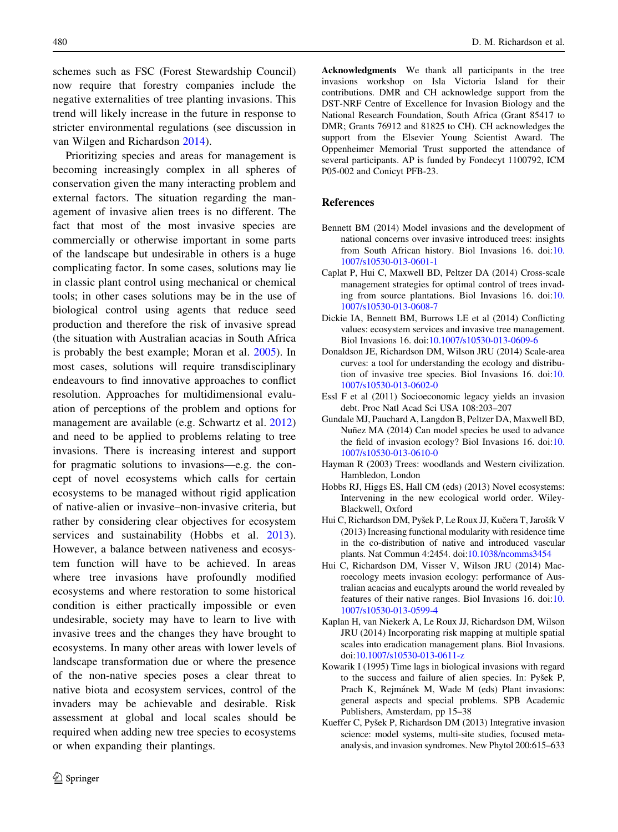<span id="page-7-0"></span>schemes such as FSC (Forest Stewardship Council) now require that forestry companies include the negative externalities of tree planting invasions. This trend will likely increase in the future in response to stricter environmental regulations (see discussion in van Wilgen and Richardson [2014\)](#page-8-0).

Prioritizing species and areas for management is becoming increasingly complex in all spheres of conservation given the many interacting problem and external factors. The situation regarding the management of invasive alien trees is no different. The fact that most of the most invasive species are commercially or otherwise important in some parts of the landscape but undesirable in others is a huge complicating factor. In some cases, solutions may lie in classic plant control using mechanical or chemical tools; in other cases solutions may be in the use of biological control using agents that reduce seed production and therefore the risk of invasive spread (the situation with Australian acacias in South Africa is probably the best example; Moran et al. [2005\)](#page-8-0). In most cases, solutions will require transdisciplinary endeavours to find innovative approaches to conflict resolution. Approaches for multidimensional evaluation of perceptions of the problem and options for management are available (e.g. Schwartz et al. [2012\)](#page-8-0) and need to be applied to problems relating to tree invasions. There is increasing interest and support for pragmatic solutions to invasions—e.g. the concept of novel ecosystems which calls for certain ecosystems to be managed without rigid application of native-alien or invasive–non-invasive criteria, but rather by considering clear objectives for ecosystem services and sustainability (Hobbs et al. 2013). However, a balance between nativeness and ecosystem function will have to be achieved. In areas where tree invasions have profoundly modified ecosystems and where restoration to some historical condition is either practically impossible or even undesirable, society may have to learn to live with invasive trees and the changes they have brought to ecosystems. In many other areas with lower levels of landscape transformation due or where the presence of the non-native species poses a clear threat to native biota and ecosystem services, control of the invaders may be achievable and desirable. Risk assessment at global and local scales should be required when adding new tree species to ecosystems or when expanding their plantings.

Acknowledgments We thank all participants in the tree invasions workshop on Isla Victoria Island for their contributions. DMR and CH acknowledge support from the DST-NRF Centre of Excellence for Invasion Biology and the National Research Foundation, South Africa (Grant 85417 to DMR; Grants 76912 and 81825 to CH). CH acknowledges the support from the Elsevier Young Scientist Award. The Oppenheimer Memorial Trust supported the attendance of several participants. AP is funded by Fondecyt 1100792, ICM P05-002 and Conicyt PFB-23.

## References

- Bennett BM (2014) Model invasions and the development of national concerns over invasive introduced trees: insights from South African history. Biol Invasions 16. doi:[10.](http://dx.doi.org/10.1007/s10530-013-0601-1) [1007/s10530-013-0601-1](http://dx.doi.org/10.1007/s10530-013-0601-1)
- Caplat P, Hui C, Maxwell BD, Peltzer DA (2014) Cross-scale management strategies for optimal control of trees invading from source plantations. Biol Invasions 16. doi:[10.](http://dx.doi.org/10.1007/s10530-013-0608-7) [1007/s10530-013-0608-7](http://dx.doi.org/10.1007/s10530-013-0608-7)
- Dickie IA, Bennett BM, Burrows LE et al (2014) Conflicting values: ecosystem services and invasive tree management. Biol Invasions 16. doi:[10.1007/s10530-013-0609-6](http://dx.doi.org/10.1007/s10530-013-0609-6)
- Donaldson JE, Richardson DM, Wilson JRU (2014) Scale-area curves: a tool for understanding the ecology and distribution of invasive tree species. Biol Invasions 16. doi:[10.](http://dx.doi.org/10.1007/s10530-013-0602-0) [1007/s10530-013-0602-0](http://dx.doi.org/10.1007/s10530-013-0602-0)
- Essl F et al (2011) Socioeconomic legacy yields an invasion debt. Proc Natl Acad Sci USA 108:203–207
- Gundale MJ, Pauchard A, Langdon B, Peltzer DA, Maxwell BD, Nuñez MA (2014) Can model species be used to advance the field of invasion ecology? Biol Invasions 16. doi:[10.](http://dx.doi.org/10.1007/s10530-013-0610-0) [1007/s10530-013-0610-0](http://dx.doi.org/10.1007/s10530-013-0610-0)
- Hayman R (2003) Trees: woodlands and Western civilization. Hambledon, London
- Hobbs RJ, Higgs ES, Hall CM (eds) (2013) Novel ecosystems: Intervening in the new ecological world order. Wiley-Blackwell, Oxford
- Hui C, Richardson DM, Pyšek P, Le Roux JJ, Kučera T, Jarošík V (2013) Increasing functional modularity with residence time in the co-distribution of native and introduced vascular plants. Nat Commun 4:2454. doi[:10.1038/ncomms3454](http://dx.doi.org/10.1038/ncomms3454)
- Hui C, Richardson DM, Visser V, Wilson JRU (2014) Macroecology meets invasion ecology: performance of Australian acacias and eucalypts around the world revealed by features of their native ranges. Biol Invasions 16. doi:[10.](http://dx.doi.org/10.1007/s10530-013-0599-4) [1007/s10530-013-0599-4](http://dx.doi.org/10.1007/s10530-013-0599-4)
- Kaplan H, van Niekerk A, Le Roux JJ, Richardson DM, Wilson JRU (2014) Incorporating risk mapping at multiple spatial scales into eradication management plans. Biol Invasions. doi[:10.1007/s10530-013-0611-z](http://dx.doi.org/10.1007/s10530-013-0611-z)
- Kowarik I (1995) Time lags in biological invasions with regard to the success and failure of alien species. In: Pyšek P, Prach K, Rejmánek M, Wade M (eds) Plant invasions: general aspects and special problems. SPB Academic Publishers, Amsterdam, pp 15–38
- Kueffer C, Pyšek P, Richardson DM (2013) Integrative invasion science: model systems, multi-site studies, focused metaanalysis, and invasion syndromes. New Phytol 200:615–633